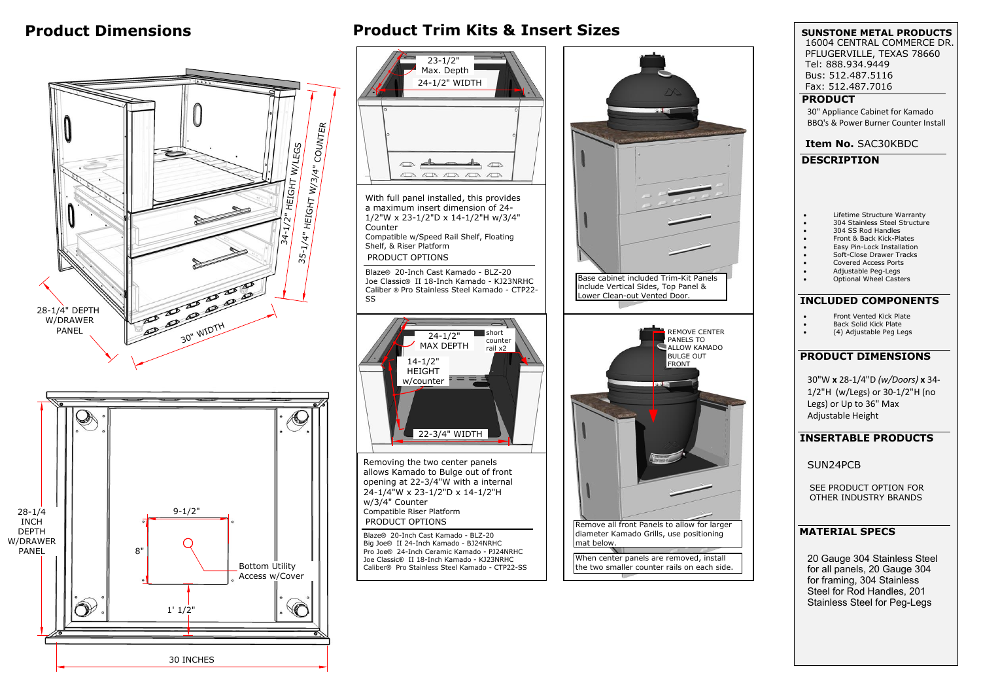20 Gauge 304 Stainless Steel for all panels, 20 Gauge 304 for framing, 304 Stainless Steel for Rod Handles, 201 Stainless Steel for Peg-Legs

## **Product Dimensions Product Trim Kits & Insert Sizes**



**SUNSTONE METAL PRODUCTS DESCRIPTION** 30" Appliance Cabinet for Kamado BBQ's & Power Burner Counter Install **Item No.** SAC30KBDC **PRODUCT INSERTABLE PRODUCTS** 16004 CENTRAL COMMERCE DR. PFLUGERVILLE, TEXAS 78660 Tel: 888.934.9449 Bus: 512.487.5116 Fax: 512.487.7016 SUN24PCB 30"W **<sup>x</sup>** 28-1/4"D *(w/Doors)* **<sup>x</sup>** 34- 1/2"H (w/Legs) or 30-1/2"H (no Legs) or Up to 36" Max Adjustable Height **MATERIAL SPECS**  $\bullet$  Lifetime Structure Warranty  $\bullet$  304 Stainless Steel Structure  $\bullet$  304 SS Rod Handles  $\bullet$  Front & Back Kick-Plates  $\bullet$  Easy Pin-Lock Installation  $\bullet$  Soft-Close Drawer Tracks  $\bullet$  Covered Access Ports  $\bullet$  Adjustable Peg-Legs  $\bullet$  Optional Wheel Casters **PRODUCT DIMENSIONS INCLUDED COMPONENTS**  $\bullet$  Front Vented Kick Plate  $\bullet$  Back Solid Kick Plate  $\bullet$  (4) Adjustable Peg Legs SEE PRODUCT OPTION FOR OTHER INDUSTRY BRANDS



![](_page_0_Picture_4.jpeg)